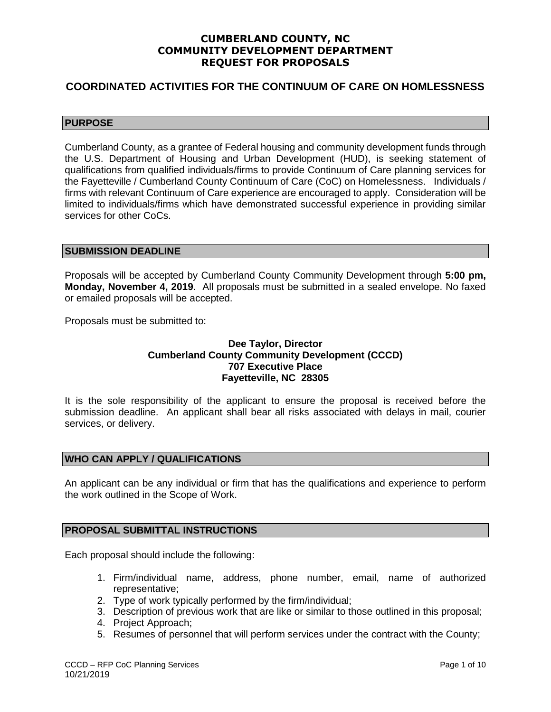## **CUMBERLAND COUNTY, NC COMMUNITY DEVELOPMENT DEPARTMENT REQUEST FOR PROPOSALS**

# **COORDINATED ACTIVITIES FOR THE CONTINUUM OF CARE ON HOMLESSNESS**

### **PURPOSE**

Cumberland County, as a grantee of Federal housing and community development funds through the U.S. Department of Housing and Urban Development (HUD), is seeking statement of qualifications from qualified individuals/firms to provide Continuum of Care planning services for the Fayetteville / Cumberland County Continuum of Care (CoC) on Homelessness. Individuals / firms with relevant Continuum of Care experience are encouraged to apply. Consideration will be limited to individuals/firms which have demonstrated successful experience in providing similar services for other CoCs.

### **SUBMISSION DEADLINE**

Proposals will be accepted by Cumberland County Community Development through **5:00 pm, Monday, November 4, 2019**. All proposals must be submitted in a sealed envelope. No faxed or emailed proposals will be accepted.

Proposals must be submitted to:

# **Dee Taylor, Director Cumberland County Community Development (CCCD) 707 Executive Place Fayetteville, NC 28305**

It is the sole responsibility of the applicant to ensure the proposal is received before the submission deadline. An applicant shall bear all risks associated with delays in mail, courier services, or delivery.

## **WHO CAN APPLY / QUALIFICATIONS**

An applicant can be any individual or firm that has the qualifications and experience to perform the work outlined in the Scope of Work.

## **PROPOSAL SUBMITTAL INSTRUCTIONS**

Each proposal should include the following:

- 1. Firm/individual name, address, phone number, email, name of authorized representative;
- 2. Type of work typically performed by the firm/individual;
- 3. Description of previous work that are like or similar to those outlined in this proposal;
- 4. Project Approach;
- 5. Resumes of personnel that will perform services under the contract with the County;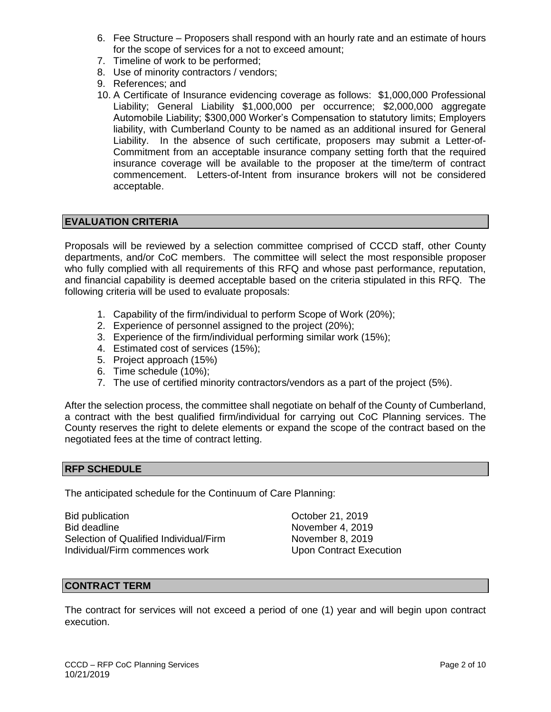- 6. Fee Structure Proposers shall respond with an hourly rate and an estimate of hours for the scope of services for a not to exceed amount;
- 7. Timeline of work to be performed;
- 8. Use of minority contractors / vendors;
- 9. References; and
- 10. A Certificate of Insurance evidencing coverage as follows: \$1,000,000 Professional Liability; General Liability \$1,000,000 per occurrence; \$2,000,000 aggregate Automobile Liability; \$300,000 Worker's Compensation to statutory limits; Employers liability, with Cumberland County to be named as an additional insured for General Liability. In the absence of such certificate, proposers may submit a Letter-of-Commitment from an acceptable insurance company setting forth that the required insurance coverage will be available to the proposer at the time/term of contract commencement. Letters-of-Intent from insurance brokers will not be considered acceptable.

## **EVALUATION CRITERIA**

Proposals will be reviewed by a selection committee comprised of CCCD staff, other County departments, and/or CoC members. The committee will select the most responsible proposer who fully complied with all requirements of this RFQ and whose past performance, reputation, and financial capability is deemed acceptable based on the criteria stipulated in this RFQ. The following criteria will be used to evaluate proposals:

- 1. Capability of the firm/individual to perform Scope of Work (20%);
- 2. Experience of personnel assigned to the project (20%);
- 3. Experience of the firm/individual performing similar work (15%);
- 4. Estimated cost of services (15%);
- 5. Project approach (15%)
- 6. Time schedule (10%);
- 7. The use of certified minority contractors/vendors as a part of the project (5%).

After the selection process, the committee shall negotiate on behalf of the County of Cumberland, a contract with the best qualified firm/individual for carrying out CoC Planning services. The County reserves the right to delete elements or expand the scope of the contract based on the negotiated fees at the time of contract letting.

#### **RFP SCHEDULE**

The anticipated schedule for the Continuum of Care Planning:

Bid publication **Department Controllering Controllering Controllering Controllering Controllering Controllering Controllering Controllering Controllering Controllering Controllering Controllering Controllering Controllerin** Bid deadline November 4, 2019 Selection of Qualified Individual/Firm November 8, 2019 Individual/Firm commences work Upon Contract Execution

# **CONTRACT TERM**

The contract for services will not exceed a period of one (1) year and will begin upon contract execution.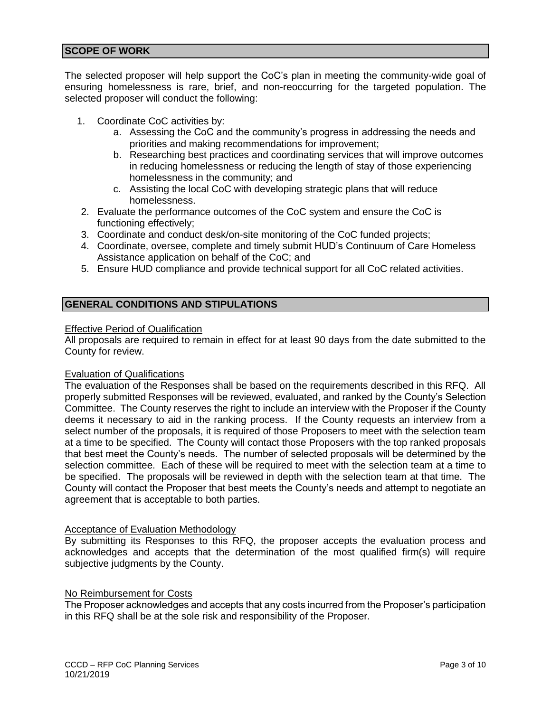## **SCOPE OF WORK**

The selected proposer will help support the CoC's plan in meeting the community-wide goal of ensuring homelessness is rare, brief, and non-reoccurring for the targeted population. The selected proposer will conduct the following:

- 1. Coordinate CoC activities by:
	- a. Assessing the CoC and the community's progress in addressing the needs and priorities and making recommendations for improvement;
	- b. Researching best practices and coordinating services that will improve outcomes in reducing homelessness or reducing the length of stay of those experiencing homelessness in the community; and
	- c. Assisting the local CoC with developing strategic plans that will reduce homelessness.
- 2. Evaluate the performance outcomes of the CoC system and ensure the CoC is functioning effectively;
- 3. Coordinate and conduct desk/on-site monitoring of the CoC funded projects;
- 4. Coordinate, oversee, complete and timely submit HUD's Continuum of Care Homeless Assistance application on behalf of the CoC; and
- 5. Ensure HUD compliance and provide technical support for all CoC related activities.

# **GENERAL CONDITIONS AND STIPULATIONS**

### Effective Period of Qualification

All proposals are required to remain in effect for at least 90 days from the date submitted to the County for review.

## Evaluation of Qualifications

The evaluation of the Responses shall be based on the requirements described in this RFQ. All properly submitted Responses will be reviewed, evaluated, and ranked by the County's Selection Committee. The County reserves the right to include an interview with the Proposer if the County deems it necessary to aid in the ranking process. If the County requests an interview from a select number of the proposals, it is required of those Proposers to meet with the selection team at a time to be specified. The County will contact those Proposers with the top ranked proposals that best meet the County's needs. The number of selected proposals will be determined by the selection committee. Each of these will be required to meet with the selection team at a time to be specified. The proposals will be reviewed in depth with the selection team at that time. The County will contact the Proposer that best meets the County's needs and attempt to negotiate an agreement that is acceptable to both parties.

#### Acceptance of Evaluation Methodology

By submitting its Responses to this RFQ, the proposer accepts the evaluation process and acknowledges and accepts that the determination of the most qualified firm(s) will require subjective judgments by the County.

## No Reimbursement for Costs

The Proposer acknowledges and accepts that any costs incurred from the Proposer's participation in this RFQ shall be at the sole risk and responsibility of the Proposer.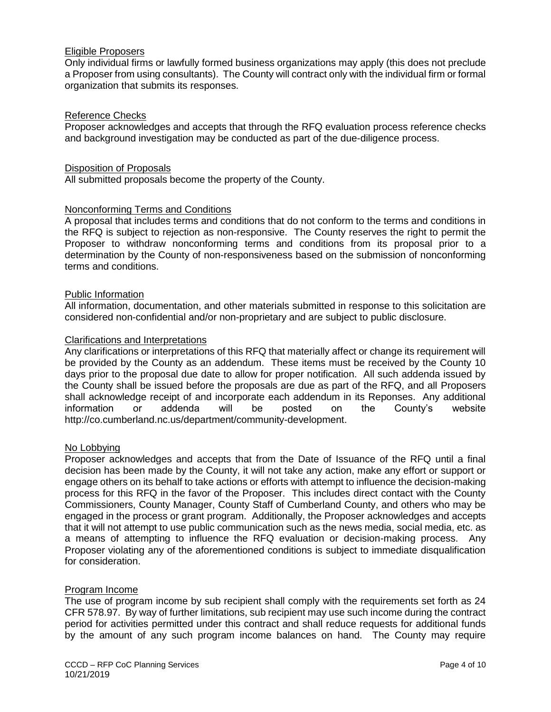## Eligible Proposers

Only individual firms or lawfully formed business organizations may apply (this does not preclude a Proposer from using consultants). The County will contract only with the individual firm or formal organization that submits its responses.

## Reference Checks

Proposer acknowledges and accepts that through the RFQ evaluation process reference checks and background investigation may be conducted as part of the due-diligence process.

### Disposition of Proposals

All submitted proposals become the property of the County.

## Nonconforming Terms and Conditions

A proposal that includes terms and conditions that do not conform to the terms and conditions in the RFQ is subject to rejection as non-responsive. The County reserves the right to permit the Proposer to withdraw nonconforming terms and conditions from its proposal prior to a determination by the County of non-responsiveness based on the submission of nonconforming terms and conditions.

### Public Information

All information, documentation, and other materials submitted in response to this solicitation are considered non-confidential and/or non-proprietary and are subject to public disclosure.

### Clarifications and Interpretations

Any clarifications or interpretations of this RFQ that materially affect or change its requirement will be provided by the County as an addendum. These items must be received by the County 10 days prior to the proposal due date to allow for proper notification. All such addenda issued by the County shall be issued before the proposals are due as part of the RFQ, and all Proposers shall acknowledge receipt of and incorporate each addendum in its Reponses. Any additional information or addenda will be posted on the County's website <http://co.cumberland.nc.us/>department/community-development.

## No Lobbying

Proposer acknowledges and accepts that from the Date of Issuance of the RFQ until a final decision has been made by the County, it will not take any action, make any effort or support or engage others on its behalf to take actions or efforts with attempt to influence the decision-making process for this RFQ in the favor of the Proposer. This includes direct contact with the County Commissioners, County Manager, County Staff of Cumberland County, and others who may be engaged in the process or grant program. Additionally, the Proposer acknowledges and accepts that it will not attempt to use public communication such as the news media, social media, etc. as a means of attempting to influence the RFQ evaluation or decision-making process. Any Proposer violating any of the aforementioned conditions is subject to immediate disqualification for consideration.

## Program Income

The use of program income by sub recipient shall comply with the requirements set forth as 24 CFR 578.97. By way of further limitations, sub recipient may use such income during the contract period for activities permitted under this contract and shall reduce requests for additional funds by the amount of any such program income balances on hand. The County may require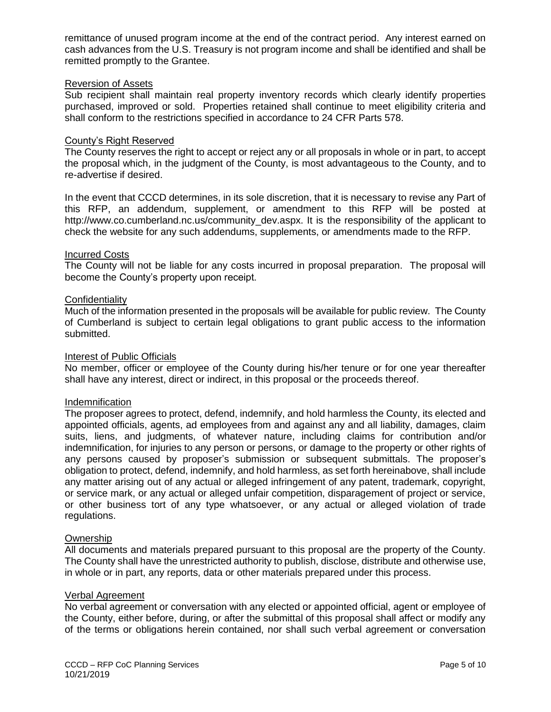remittance of unused program income at the end of the contract period. Any interest earned on cash advances from the U.S. Treasury is not program income and shall be identified and shall be remitted promptly to the Grantee.

### Reversion of Assets

Sub recipient shall maintain real property inventory records which clearly identify properties purchased, improved or sold. Properties retained shall continue to meet eligibility criteria and shall conform to the restrictions specified in accordance to 24 CFR Parts 578.

#### County's Right Reserved

The County reserves the right to accept or reject any or all proposals in whole or in part, to accept the proposal which, in the judgment of the County, is most advantageous to the County, and to re-advertise if desired.

In the event that CCCD determines, in its sole discretion, that it is necessary to revise any Part of this RFP, an addendum, supplement, or amendment to this RFP will be posted at http://www.co.cumberland.nc.us/community\_dev.aspx. It is the responsibility of the applicant to check the website for any such addendums, supplements, or amendments made to the RFP.

### Incurred Costs

The County will not be liable for any costs incurred in proposal preparation. The proposal will become the County's property upon receipt.

### **Confidentiality**

Much of the information presented in the proposals will be available for public review. The County of Cumberland is subject to certain legal obligations to grant public access to the information submitted.

#### Interest of Public Officials

No member, officer or employee of the County during his/her tenure or for one year thereafter shall have any interest, direct or indirect, in this proposal or the proceeds thereof.

#### **Indemnification**

The proposer agrees to protect, defend, indemnify, and hold harmless the County, its elected and appointed officials, agents, ad employees from and against any and all liability, damages, claim suits, liens, and judgments, of whatever nature, including claims for contribution and/or indemnification, for injuries to any person or persons, or damage to the property or other rights of any persons caused by proposer's submission or subsequent submittals. The proposer's obligation to protect, defend, indemnify, and hold harmless, as set forth hereinabove, shall include any matter arising out of any actual or alleged infringement of any patent, trademark, copyright, or service mark, or any actual or alleged unfair competition, disparagement of project or service, or other business tort of any type whatsoever, or any actual or alleged violation of trade regulations.

#### **Ownership**

All documents and materials prepared pursuant to this proposal are the property of the County. The County shall have the unrestricted authority to publish, disclose, distribute and otherwise use, in whole or in part, any reports, data or other materials prepared under this process.

## Verbal Agreement

No verbal agreement or conversation with any elected or appointed official, agent or employee of the County, either before, during, or after the submittal of this proposal shall affect or modify any of the terms or obligations herein contained, nor shall such verbal agreement or conversation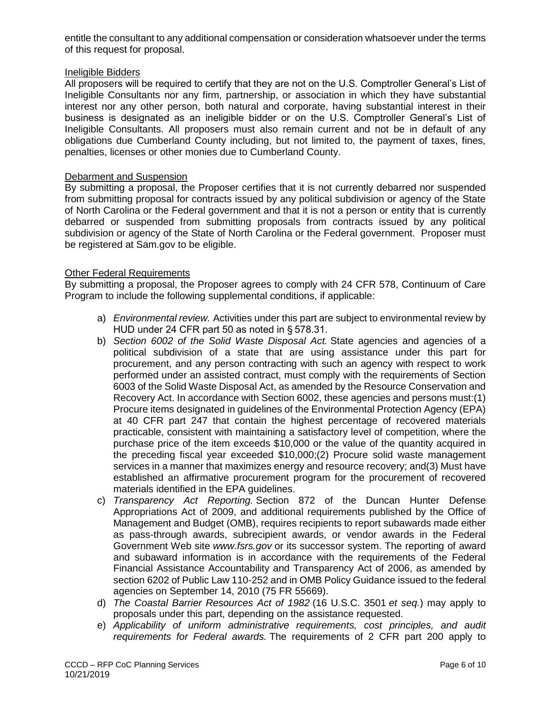entitle the consultant to any additional compensation or consideration whatsoever under the terms of this request for proposal.

# Ineligible Bidders

All proposers will be required to certify that they are not on the U.S. Comptroller General's List of Ineligible Consultants nor any firm, partnership, or association in which they have substantial interest nor any other person, both natural and corporate, having substantial interest in their business is designated as an ineligible bidder or on the U.S. Comptroller General's List of Ineligible Consultants. All proposers must also remain current and not be in default of any obligations due Cumberland County including, but not limited to, the payment of taxes, fines, penalties, licenses or other monies due to Cumberland County.

## Debarment and Suspension

By submitting a proposal, the Proposer certifies that it is not currently debarred nor suspended from submitting proposal for contracts issued by any political subdivision or agency of the State of North Carolina or the Federal government and that it is not a person or entity that is currently debarred or suspended from submitting proposals from contracts issued by any political subdivision or agency of the State of North Carolina or the Federal government. Proposer must be registered at Sam.gov to be eligible.

# Other Federal Requirements

By submitting a proposal, the Proposer agrees to comply with 24 CFR 578, Continuum of Care Program to include the following supplemental conditions, if applicable:

- a) *Environmental review.* Activities under this part are subject to environmental review by HUD under 24 CFR part 50 as noted in § 578.31.
- b) *Section 6002 of the Solid Waste Disposal Act.* State agencies and agencies of a political subdivision of a state that are using assistance under this part for procurement, and any person contracting with such an agency with respect to work performed under an assisted contract, must comply with the requirements of Section 6003 of the Solid Waste Disposal Act, as amended by the Resource Conservation and Recovery Act. In accordance with Section 6002, these agencies and persons must:(1) Procure items designated in guidelines of the Environmental Protection Agency (EPA) at 40 CFR part 247 that contain the highest percentage of recovered materials practicable, consistent with maintaining a satisfactory level of competition, where the purchase price of the item exceeds \$10,000 or the value of the quantity acquired in the preceding fiscal year exceeded \$10,000;(2) Procure solid waste management services in a manner that maximizes energy and resource recovery; and(3) Must have established an affirmative procurement program for the procurement of recovered materials identified in the EPA guidelines.
- c) *Transparency Act Reporting.* Section 872 of the Duncan Hunter Defense Appropriations Act of 2009, and additional requirements published by the Office of Management and Budget (OMB), requires recipients to report subawards made either as pass-through awards, subrecipient awards, or vendor awards in the Federal Government Web site *www.fsrs.gov* or its successor system. The reporting of award and subaward information is in accordance with the requirements of the Federal Financial Assistance Accountability and Transparency Act of 2006, as amended by section 6202 of Public Law 110-252 and in OMB Policy Guidance issued to the federal agencies on September 14, 2010 (75 FR 55669).
- d) *The Coastal Barrier Resources Act of 1982* (16 U.S.C. 3501 *et seq.*) may apply to proposals under this part, depending on the assistance requested.
- e) *Applicability of uniform administrative requirements, cost principles, and audit requirements for Federal awards.* The requirements of 2 CFR part 200 apply to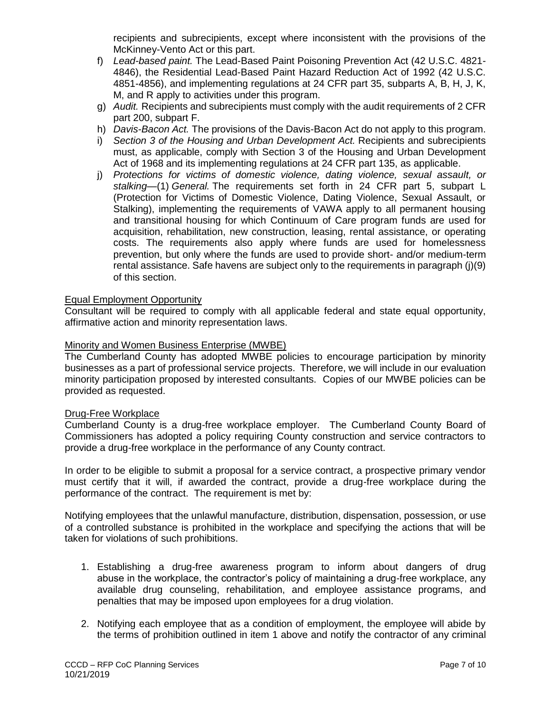recipients and subrecipients, except where inconsistent with the provisions of the McKinney-Vento Act or this part.

- f) *Lead-based paint.* The Lead-Based Paint Poisoning Prevention Act (42 U.S.C. 4821- 4846), the Residential Lead-Based Paint Hazard Reduction Act of 1992 (42 U.S.C. 4851-4856), and implementing regulations at 24 CFR part 35, subparts A, B, H, J, K, M, and R apply to activities under this program.
- g) *Audit.* Recipients and subrecipients must comply with the audit requirements of 2 CFR part 200, subpart F.
- h) *Davis-Bacon Act.* The provisions of the Davis-Bacon Act do not apply to this program.
- i) *Section 3 of the Housing and Urban Development Act.* Recipients and subrecipients must, as applicable, comply with Section 3 of the Housing and Urban Development Act of 1968 and its implementing regulations at 24 CFR part 135, as applicable.
- j) *Protections for victims of domestic violence, dating violence, sexual assault, or stalking*—(1) *General.* The requirements set forth in 24 CFR part 5, subpart L (Protection for Victims of Domestic Violence, Dating Violence, Sexual Assault, or Stalking), implementing the requirements of VAWA apply to all permanent housing and transitional housing for which Continuum of Care program funds are used for acquisition, rehabilitation, new construction, leasing, rental assistance, or operating costs. The requirements also apply where funds are used for homelessness prevention, but only where the funds are used to provide short- and/or medium-term rental assistance. Safe havens are subject only to the requirements in paragraph (j)(9) of this section.

# Equal Employment Opportunity

Consultant will be required to comply with all applicable federal and state equal opportunity, affirmative action and minority representation laws.

## Minority and Women Business Enterprise (MWBE)

The Cumberland County has adopted MWBE policies to encourage participation by minority businesses as a part of professional service projects. Therefore, we will include in our evaluation minority participation proposed by interested consultants. Copies of our MWBE policies can be provided as requested.

#### Drug-Free Workplace

Cumberland County is a drug-free workplace employer. The Cumberland County Board of Commissioners has adopted a policy requiring County construction and service contractors to provide a drug-free workplace in the performance of any County contract.

In order to be eligible to submit a proposal for a service contract, a prospective primary vendor must certify that it will, if awarded the contract, provide a drug-free workplace during the performance of the contract. The requirement is met by:

Notifying employees that the unlawful manufacture, distribution, dispensation, possession, or use of a controlled substance is prohibited in the workplace and specifying the actions that will be taken for violations of such prohibitions.

- 1. Establishing a drug-free awareness program to inform about dangers of drug abuse in the workplace, the contractor's policy of maintaining a drug-free workplace, any available drug counseling, rehabilitation, and employee assistance programs, and penalties that may be imposed upon employees for a drug violation.
- 2. Notifying each employee that as a condition of employment, the employee will abide by the terms of prohibition outlined in item 1 above and notify the contractor of any criminal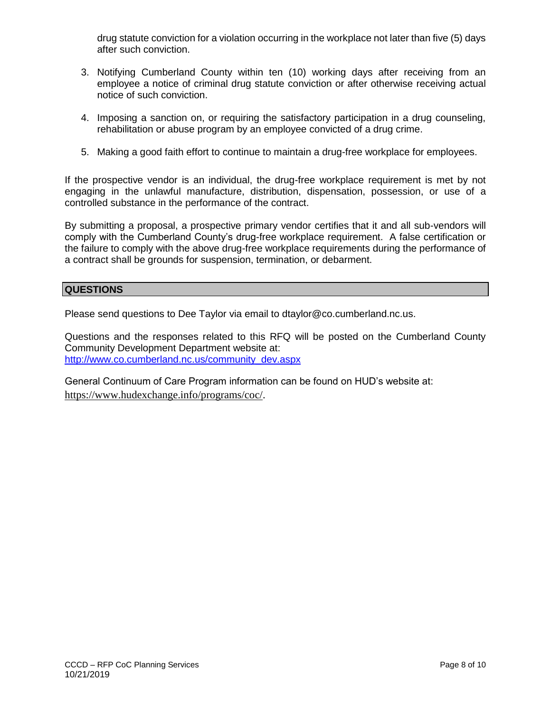drug statute conviction for a violation occurring in the workplace not later than five (5) days after such conviction.

- 3. Notifying Cumberland County within ten (10) working days after receiving from an employee a notice of criminal drug statute conviction or after otherwise receiving actual notice of such conviction.
- 4. Imposing a sanction on, or requiring the satisfactory participation in a drug counseling, rehabilitation or abuse program by an employee convicted of a drug crime.
- 5. Making a good faith effort to continue to maintain a drug-free workplace for employees.

If the prospective vendor is an individual, the drug-free workplace requirement is met by not engaging in the unlawful manufacture, distribution, dispensation, possession, or use of a controlled substance in the performance of the contract.

By submitting a proposal, a prospective primary vendor certifies that it and all sub-vendors will comply with the Cumberland County's drug-free workplace requirement. A false certification or the failure to comply with the above drug-free workplace requirements during the performance of a contract shall be grounds for suspension, termination, or debarment.

## **QUESTIONS**

Please send questions to Dee Taylor via email to dtaylor@co.cumberland.nc.us.

Questions and the responses related to this RFQ will be posted on the Cumberland County Community Development Department website at: [http://www.co.cumberland.nc.us/community\\_dev.aspx](http://www.co.cumberland.nc.us/community_dev.aspx)

General Continuum of Care Program information can be found on HUD's website at: [https://www.hudexchange.info/programs/coc/.](https://www.hudexchange.info/programs/coc/)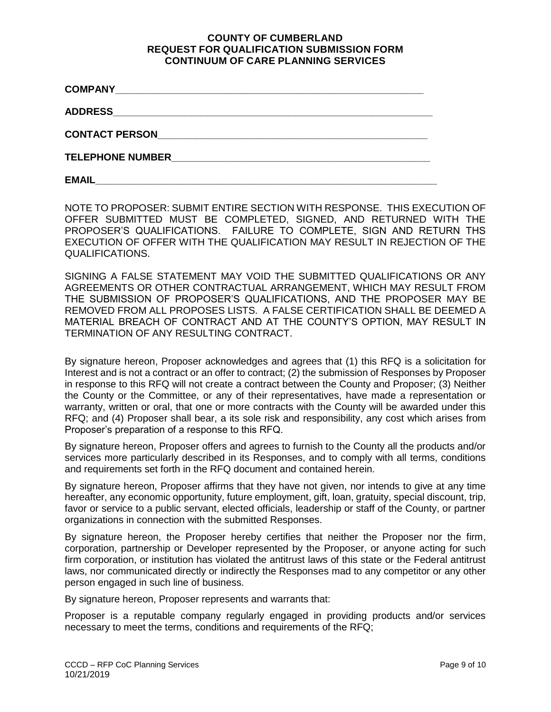## **COUNTY OF CUMBERLAND REQUEST FOR QUALIFICATION SUBMISSION FORM CONTINUUM OF CARE PLANNING SERVICES**

| <b>EMAIL</b> |  |
|--------------|--|

NOTE TO PROPOSER: SUBMIT ENTIRE SECTION WITH RESPONSE. THIS EXECUTION OF OFFER SUBMITTED MUST BE COMPLETED, SIGNED, AND RETURNED WITH THE PROPOSER'S QUALIFICATIONS. FAILURE TO COMPLETE, SIGN AND RETURN THS EXECUTION OF OFFER WITH THE QUALIFICATION MAY RESULT IN REJECTION OF THE QUALIFICATIONS.

SIGNING A FALSE STATEMENT MAY VOID THE SUBMITTED QUALIFICATIONS OR ANY AGREEMENTS OR OTHER CONTRACTUAL ARRANGEMENT, WHICH MAY RESULT FROM THE SUBMISSION OF PROPOSER'S QUALIFICATIONS, AND THE PROPOSER MAY BE REMOVED FROM ALL PROPOSES LISTS. A FALSE CERTIFICATION SHALL BE DEEMED A MATERIAL BREACH OF CONTRACT AND AT THE COUNTY'S OPTION, MAY RESULT IN TERMINATION OF ANY RESULTING CONTRACT.

By signature hereon, Proposer acknowledges and agrees that (1) this RFQ is a solicitation for Interest and is not a contract or an offer to contract; (2) the submission of Responses by Proposer in response to this RFQ will not create a contract between the County and Proposer; (3) Neither the County or the Committee, or any of their representatives, have made a representation or warranty, written or oral, that one or more contracts with the County will be awarded under this RFQ; and (4) Proposer shall bear, a its sole risk and responsibility, any cost which arises from Proposer's preparation of a response to this RFQ.

By signature hereon, Proposer offers and agrees to furnish to the County all the products and/or services more particularly described in its Responses, and to comply with all terms, conditions and requirements set forth in the RFQ document and contained herein.

By signature hereon, Proposer affirms that they have not given, nor intends to give at any time hereafter, any economic opportunity, future employment, gift, loan, gratuity, special discount, trip, favor or service to a public servant, elected officials, leadership or staff of the County, or partner organizations in connection with the submitted Responses.

By signature hereon, the Proposer hereby certifies that neither the Proposer nor the firm, corporation, partnership or Developer represented by the Proposer, or anyone acting for such firm corporation, or institution has violated the antitrust laws of this state or the Federal antitrust laws, nor communicated directly or indirectly the Responses mad to any competitor or any other person engaged in such line of business.

By signature hereon, Proposer represents and warrants that:

Proposer is a reputable company regularly engaged in providing products and/or services necessary to meet the terms, conditions and requirements of the RFQ;